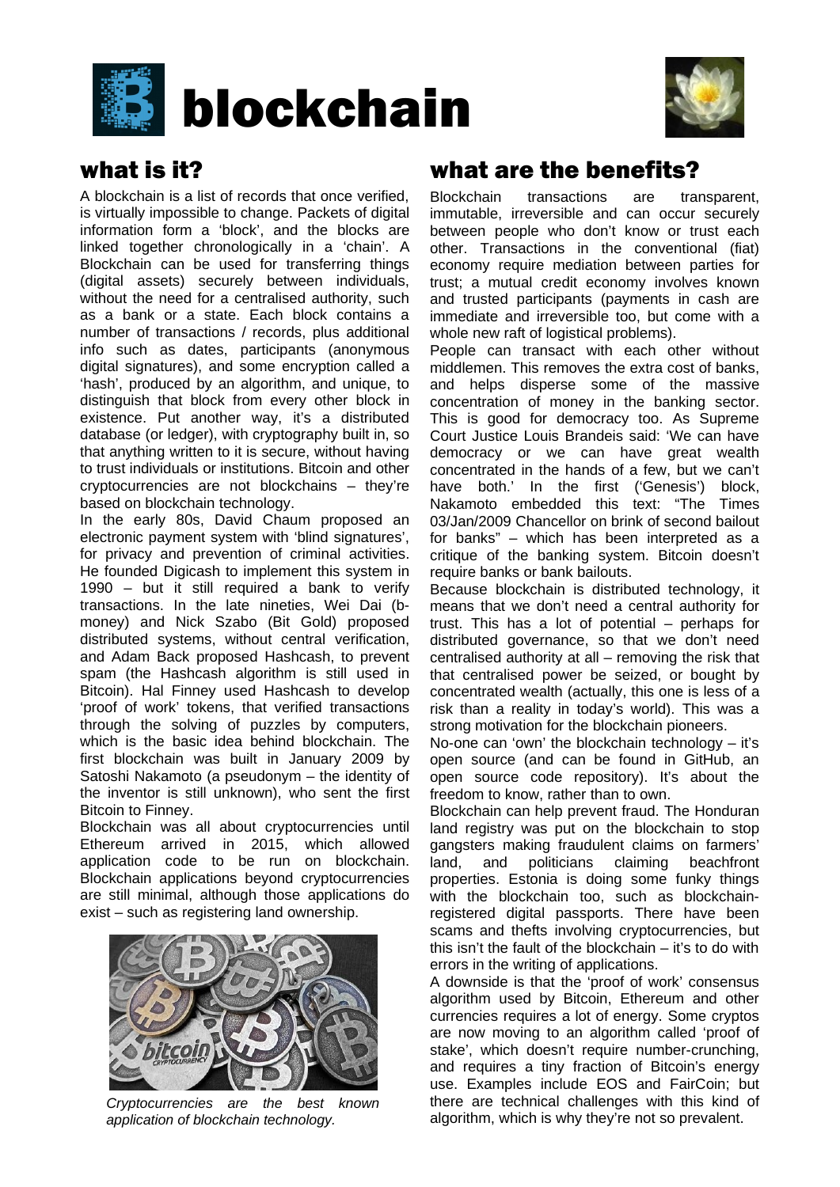



### what is it?

A blockchain is a list of records that once verified, is virtually impossible to change. Packets of digital information form a 'block', and the blocks are linked together chronologically in a 'chain'. A Blockchain can be used for transferring things (digital assets) securely between individuals, without the need for a centralised authority, such as a bank or a state. Each block contains a number of transactions / records, plus additional info such as dates, participants (anonymous digital signatures), and some encryption called a 'hash', produced by an algorithm, and unique, to distinguish that block from every other block in existence. Put another way, it's a distributed database (or ledger), with cryptography built in, so that anything written to it is secure, without having to trust individuals or institutions. Bitcoin and other cryptocurrencies are not blockchains – they're based on blockchain technology.

In the early 80s, David Chaum proposed an electronic payment system with 'blind signatures', for privacy and prevention of criminal activities. He founded Digicash to implement this system in 1990 – but it still required a bank to verify transactions. In the late nineties, Wei Dai (bmoney) and Nick Szabo (Bit Gold) proposed distributed systems, without central verification, and Adam Back proposed Hashcash, to prevent spam (the Hashcash algorithm is still used in Bitcoin). Hal Finney used Hashcash to develop 'proof of work' tokens, that verified transactions through the solving of puzzles by computers, which is the basic idea behind blockchain. The first blockchain was built in January 2009 by Satoshi Nakamoto (a pseudonym – the identity of the inventor is still unknown), who sent the first Bitcoin to Finney.

Blockchain was all about cryptocurrencies until Ethereum arrived in 2015, which allowed application code to be run on blockchain. Blockchain applications beyond cryptocurrencies are still minimal, although those applications do exist – such as registering land ownership.



*Cryptocurrencies are the best known application of blockchain technology.*

## what are the benefits?

Blockchain transactions are transparent, immutable, irreversible and can occur securely between people who don't know or trust each other. Transactions in the conventional (fiat) economy require mediation between parties for trust; a mutual credit economy involves known and trusted participants (payments in cash are immediate and irreversible too, but come with a whole new raft of logistical problems).

People can transact with each other without middlemen. This removes the extra cost of banks, and helps disperse some of the massive concentration of money in the banking sector. This is good for democracy too. As Supreme Court Justice Louis Brandeis said: 'We can have democracy or we can have great wealth concentrated in the hands of a few, but we can't have both.' In the first ('Genesis') block, Nakamoto embedded this text: "The Times 03/Jan/2009 Chancellor on brink of second bailout for banks" – which has been interpreted as a critique of the banking system. Bitcoin doesn't require banks or bank bailouts.

Because blockchain is distributed technology, it means that we don't need a central authority for trust. This has a lot of potential – perhaps for distributed governance, so that we don't need centralised authority at all – removing the risk that that centralised power be seized, or bought by concentrated wealth (actually, this one is less of a risk than a reality in today's world). This was a strong motivation for the blockchain pioneers.

No-one can 'own' the blockchain technology – it's open source (and can be found in GitHub, an open source code repository). It's about the freedom to know, rather than to own.

Blockchain can help prevent fraud. The Honduran land registry was put on the blockchain to stop gangsters making fraudulent claims on farmers' land, and politicians claiming beachfront properties. Estonia is doing some funky things with the blockchain too, such as blockchainregistered digital passports. There have been scams and thefts involving cryptocurrencies, but this isn't the fault of the blockchain – it's to do with errors in the writing of applications.

A downside is that the 'proof of work' consensus algorithm used by Bitcoin, Ethereum and other currencies requires a lot of energy. Some cryptos are now moving to an algorithm called 'proof of stake', which doesn't require number-crunching, and requires a tiny fraction of Bitcoin's energy use. Examples include EOS and FairCoin; but there are technical challenges with this kind of algorithm, which is why they're not so prevalent.